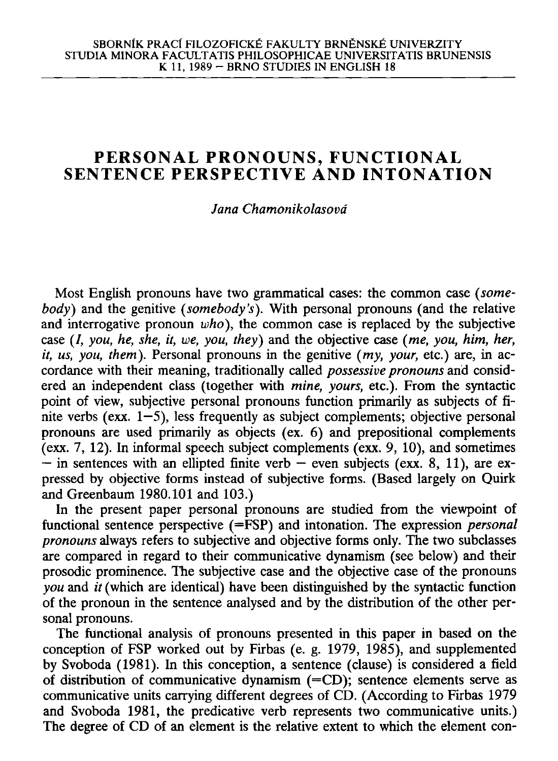## **PERSONAL PRONOUNS, FUNCTIONAL SENTENCE PERSPECTIVE AND INTONATION**

## *Jana Chamonikolasovd*

Most English pronouns have two grammatical cases: the common case *(somebody)* and the genitive *(somebody's).* With personal pronouns (and the relative and interrogative pronoun *who),* the common case is replaced by the subjective case (/, *you, he, she, it, we, you, they)* and the objective case *(me, you, him, her, it, us, you, them).* Personal pronouns in the genitive *(my, your,* etc.) are, in accordance with their meaning, traditionally called *possessive pronouns* and considered an independent class (together with *mine, yours,* etc.). From the syntactic point of view, subjective personal pronouns function primarily as subjects of finite verbs (exx.  $1-5$ ), less frequently as subject complements; objective personal pronouns are used primarily as objects (ex. 6) and prepositional complements (exx. 7, 12). In informal speech subject complements (exx. 9, 10), and sometimes  $-$  in sentences with an ellipted finite verb  $-$  even subjects (exx. 8, 11), are expressed by objective forms instead of subjective forms. (Based largely on Quirk and Greenbaum 1980.101 and 103.)

In the present paper personal pronouns are studied from the viewpoint of functional sentence perspective (=FSP) and intonation. The expression *personal pronouns* always refers to subjective and objective forms only. The two subclasses are compared in regard to their communicative dynamism (see below) and their prosodic prominence. The subjective case and the objective case of the pronouns *you* and *it* (which are identical) have been distinguished by the syntactic function of the pronoun in the sentence analysed and by the distribution of the other personal pronouns.

The functional analysis of pronouns presented in this paper in based on the conception of FSP worked out by Firbas (e. g. 1979, 1985), and supplemented by Svoboda (1981). In this conception, a sentence (clause) is considered a field of distribution of communicative dynamism  $(=CD)$ ; sentence elements serve as communicative units carrying different degrees of CD. (According to Firbas 1979 and Svoboda 1981, the predicative verb represents two communicative units.) The degree of CD of an element is the relative extent to which the element con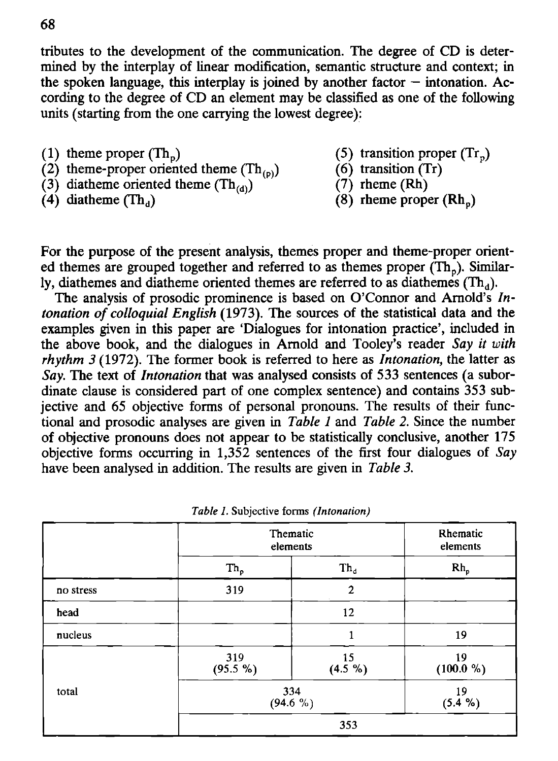tributes to the development of the communication. The degree of CD is determined by the interplay of linear modification, semantic structure and context; in the spoken language, this interplay is joined by another factor  $-$  intonation. According to the degree of CD an element may be classified as one of the following units (starting from the one carrying the lowest degree):

- 
- (1) theme proper  $(Th_p)$  (5) transition proper  $(Tr_p)$ <br>(2) theme-proper oriented theme  $(Th_{(p)})$  (6) transition  $(Tr)$ (2) theme-proper oriented theme  $(Th_{(p)})$  (6) transition (T<br>(3) diatheme oriented theme  $(Th_{(p)})$  (7) rheme (Rh)
- (3) diatheme oriented theme  $(Th_{(d)})$ <br>(4) diatheme  $(Th_a)$
- 
- 
- 
- 
- $(8)$  rheme proper  $(Rh<sub>n</sub>)$

For the purpose of the present analysis, themes proper and theme-proper oriented themes are grouped together and referred to as themes proper  $(Th<sub>n</sub>)$ . Similarly, diathemes and diatheme oriented themes are referred to as diathemes  $(Th<sub>d</sub>)$ .

The analysis of prosodic prominence is based on O'Connor and Arnold's *Intonation of colloquial English* (1973). The sources of the statistical data and the examples given in this paper are 'Dialogues for intonation practice', included in the above book, and the dialogues in Arnold and Tooley's reader *Say it with rhythm 3* (1972). The former book is referred to here as *Intonation,* the latter as *Say.* The text of *Intonation* that was analysed consists of 533 sentences (a subordinate clause is considered part of one complex sentence) and contains 353 subjective and 65 objective forms of personal pronouns. The results of their functional and prosodic analyses are given in *Table 1* and *Table 2.* Since the number of objective pronouns does not appear to be statistically conclusive, another 175 objective forms occurring in 1,352 sentences of the first four dialogues of *Say*  have been analysed in addition. The results are given in *Table 3.* 

|           | Thematic<br>elements |                | Rhematic<br>elements |
|-----------|----------------------|----------------|----------------------|
|           | $Th_p$               | $Th_a$         | $Rh_p$               |
| no stress | 319                  | $\overline{2}$ |                      |
| head      |                      | 12             |                      |
| nucleus   |                      |                | 19                   |
|           | 319<br>(95.5 %)      | 15<br>(4.5 %)  | 19<br>(100.0 %)      |
| total     | 334<br>$(94.6\%)$    |                | 19<br>(5.4 %)        |
|           | 353                  |                |                      |

*Table I.* **Subjective forms** *(Intonation)*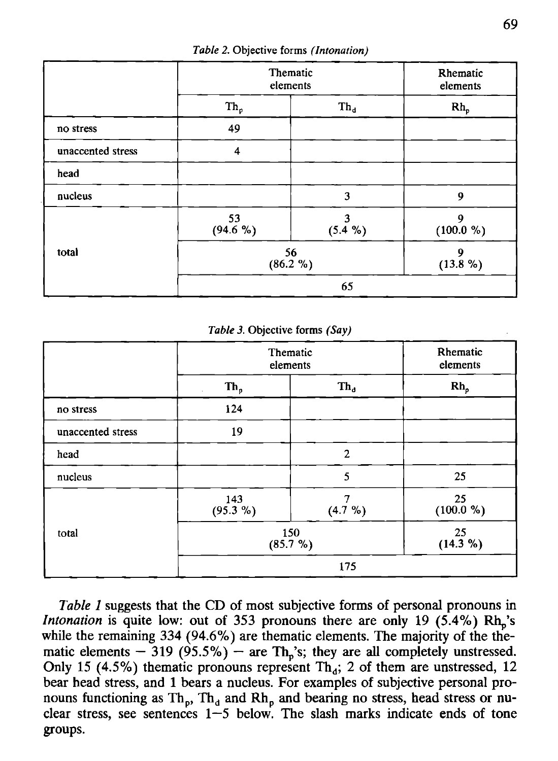|                   | Thematic<br>elements |              | Rhematic<br>elements |
|-------------------|----------------------|--------------|----------------------|
|                   | $Th_p$               | $Th_d$       | $Rh_p$               |
| no stress         | 49                   |              |                      |
| unaccented stress | $\overline{4}$       |              |                      |
| head              |                      |              |                      |
| nucleus           |                      | 3            | 9                    |
|                   | 53<br>$(94.6\%)$     | 3<br>(5.4 %) | 9<br>(100.0 %)       |
| total             | 56<br>(86.2 %)       |              | 9<br>$(13.8\%)$      |
|                   |                      | 65           |                      |

*Table 2.* **Objective forms** *(Intonation)* 

*Table 3.* **Objective forms** *(Say)* 

|                   | Thematic<br>elements |                | Rhematic<br>elements  |
|-------------------|----------------------|----------------|-----------------------|
|                   | $Th_p$               | $Th_{d}$       | $Rh_p$                |
| no stress         | 124                  |                |                       |
| unaccented stress | 19                   |                |                       |
| head              |                      | $\overline{c}$ |                       |
| nucleus           |                      | 5              | 25                    |
|                   | 143<br>(95.3 %)      | 7<br>(4.7 %)   | 25<br>(100.0 %)       |
| total             | 150<br>(85.7%)       |                | $\frac{25}{(14.3\%)}$ |
|                   | 175                  |                |                       |

*Table 1* suggests that the CD of most subjective forms of personal pronouns in *Intonation* is quite low: out of 353 pronouns there are only 19  $(5.4\%)$  Rh<sub>n</sub>'s while the remaining 334 (94.6%) are thematic elements. The majority of the thematic elements  $-$  319 (95.5%)  $-$  are Th<sub>p</sub>'s; they are all completely unstressed. Only 15 (4.5%) thematic pronouns represent  $Th_d$ ; 2 of them are unstressed, 12 bear head stress, and 1 bears a nucleus. For examples of subjective personal pronouns functioning as Th<sub>n</sub>, Th<sub>d</sub> and Rh<sub>n</sub> and bearing no stress, head stress or nuclear stress, see sentences 1—5 below. The slash marks indicate ends of tone groups.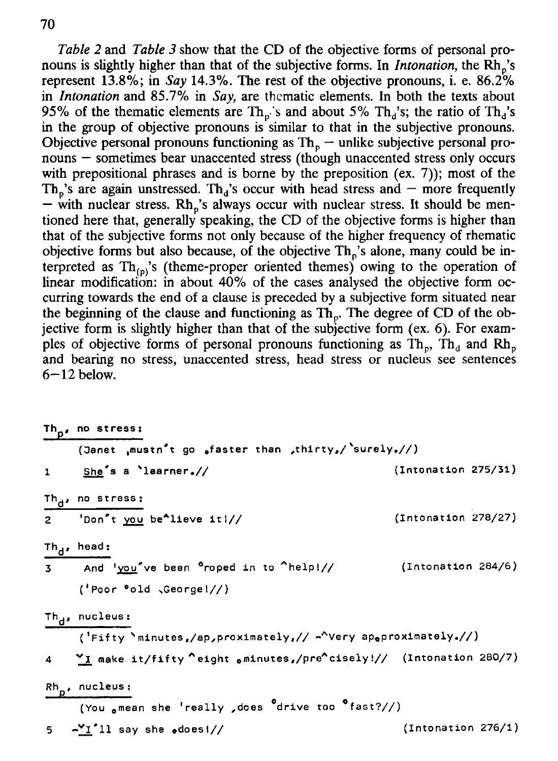*Table 2* and *Table 3* show that the CD of the objective forms of personal pronouns is slightly higher than that of the subjective forms. In *Intonation*, the Rh<sub>p</sub>'s represent 13.8%; in *Say* 14.3%. The rest of the objective pronouns, i. e. 86.2% in *Intonation* and 85.7% in *Say,* are thematic elements. In both the texts about 95% of the thematic elements are  $Th_{\rho}$ 's and about 5%  $Th_{d}$ 's; the ratio of  $Th_{d}$ 's in the group of objective pronouns is similar to that in the subjective pronouns. Objective personal pronouns functioning as  $Th<sub>p</sub>$  – unlike subjective personal pronouns — sometimes bear unaccented stress (though unaccented stress only occurs with prepositional phrases and is borne by the preposition (ex. 7)); most of the Th<sub>n</sub>'s are again unstressed. Th<sub>d</sub>'s occur with head stress and — more frequently  $-$  with nuclear stress. Rh<sub>n</sub>'s always occur with nuclear stress. It should be mentioned here that, generally speaking, the CD of the objective forms is higher than that of the subjective forms not only because of the higher frequency of rhematic objective forms but also because, of the objective  $Th<sub>n</sub>$ 's alone, many could be interpreted as  $Th_{(p)}$ 's (theme-proper oriented themes) owing to the operation of linear modification: in about 40% of the cases analysed the objective form occurring towards the end of a clause is preceded by a subjective form situated near the beginning of the clause and functioning as  $\text{Th}_n$ . The degree of CD of the objective form is slightly higher than that of the subjective form (ex. 6). For examples of objective forms of personal pronouns functioning as  $\hat{T}h_{\alpha}$ ,  $\hat{T}h_{\alpha}$  and Rh. and bearing no stress, unaccented stress, head stress or nucleus see sentences  $6-12$  below.

| Th <sub>o</sub> , no stress:                                               |                       |
|----------------------------------------------------------------------------|-----------------------|
| (Janet ,mustn <sup>*</sup> t go ,faster than ,thirty,/'surely.//)          |                       |
| 1 She's a learner.//                                                       | (Introduction 275/31) |
| Th <sub>d</sub> , no stress:                                               |                       |
| 2 'Don't you be 'lieve it !//                                              | (Introduction 278/27) |
| Th <sub>d</sub> , head:                                                    |                       |
| 3 And 'you've been <sup>o</sup> roped in to 'help!//                       | (Intonation 284/6)    |
| $('Poor 'old \sqrt{George1}/')$                                            |                       |
| Th <sub>d</sub> , nucleus:                                                 |                       |
| ('Fifty 'minutes,/ap,proximately,// - 'Very apoproximately.//)             |                       |
| 4 <b>Y</b> make it/fifty cight ominutes,/precisely!// (Intonation 280/7)   |                       |
| Rh <sub>n</sub> , nucleus:                                                 |                       |
| (You omean she 'really , does <sup>o</sup> drive too <sup>o</sup> fast?//) |                       |
| $5 - 11$ say she odoes!//                                                  | (Intonation 276/1)    |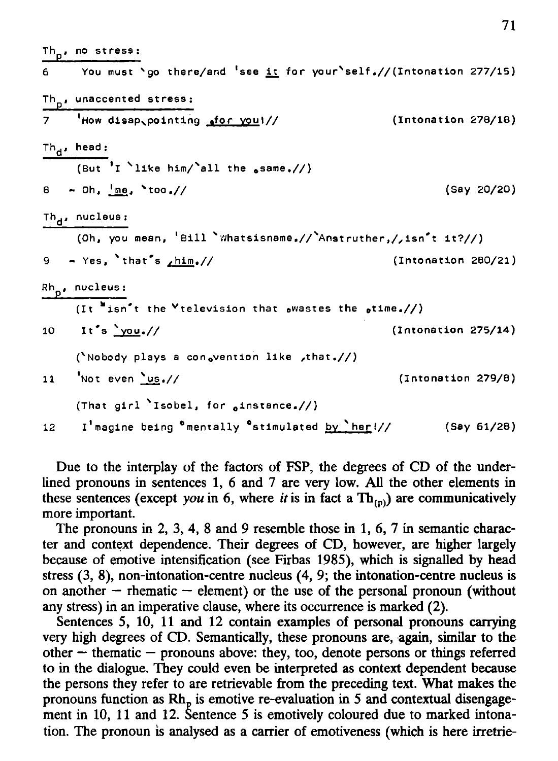|                 | Th <sub>o</sub> , no stress:                                                    |                       |
|-----------------|---------------------------------------------------------------------------------|-----------------------|
|                 | 6 You must 'go there/and 'see it for your'self.//(Intonation 277/15)            |                       |
|                 | Th <sub>n</sub> , unaccented stress:                                            |                       |
|                 | 7 How disap pointing sfor you!//                                                | (Introduction 278/18) |
|                 | Th <sub>d</sub> , head:                                                         |                       |
|                 | (But 'I 'like him/'all the same.//)                                             |                       |
|                 | $\theta$ - Oh, $\frac{Im \theta}{2}$ , $\text{100.}$ //                         | (Say 20/20)           |
|                 | Th <sub>d</sub> , nucleus:                                                      |                       |
|                 | (Oh, you mean, 'Bill `Whatsisname,//`Anstruther,/,isn't it?//)                  |                       |
|                 | 9 - Yes, 'that's $\frac{\hbar i m}{\hbar}$ //                                   | (Intonation 280/21)   |
|                 | Rh <sub>o</sub> , nucleus:                                                      |                       |
|                 | (It "isn't the "television that $_0$ wastes the $_0$ time.//)                   |                       |
|                 | 10 It's $\frac{1}{20}$ 10                                                       | (Introduction 275/14) |
|                 | ('Nobody plays a consvention like , that.//)                                    |                       |
| $11 -$          | Not even $\frac{\log_2}{\sqrt{2}}$                                              | (Introduction 279/8)  |
|                 | (That girl 'Isobel, for ainstance.//)                                           |                       |
| 12 <sup>7</sup> | I'magine being <sup>o</sup> mentally <sup>o</sup> stimulated <u>by `her</u> !// | (Say 61/28)           |

71

Due to the interplay of the factors of FSP, the degrees of CD of the underlined pronouns in sentences 1, 6 and 7 are very low. All the other elements in these sentences (except *you* in 6, where *it* is in fact a  $Th_{(p)}$ ) are communicatively more important.

The pronouns in 2, 3, 4, 8 and 9 resemble those in 1, 6, 7 in semantic character and context dependence. Their degrees of CD, however, are higher largely because of emotive intensification (see Firbas 1985), which is signalled by head stress (3, 8), non-intonation-centre nucleus (4, 9; the intonation-centre nucleus is on another  $-$  rhematic  $-$  element) or the use of the personal pronoun (without any stress) in an imperative clause, where its occurrence is marked (2).

Sentences 5, 10, 11 and 12 contain examples of personal pronouns carrying very high degrees of CD. Semantically, these pronouns are, again, similar to the other — thematic — pronouns above: they, too, denote persons or things referred to in the dialogue. They could even be interpreted as context dependent because the persons they refer to are retrievable from the preceding text. What makes the pronouns function as Rh<sub>n</sub> is emotive re-evaluation in 5 and contextual disengagement in 10, 11 and 12. Sentence 5 is emotively coloured due to marked intonation. The pronoun is analysed as a carrier of emotiveness (which is here irretrie-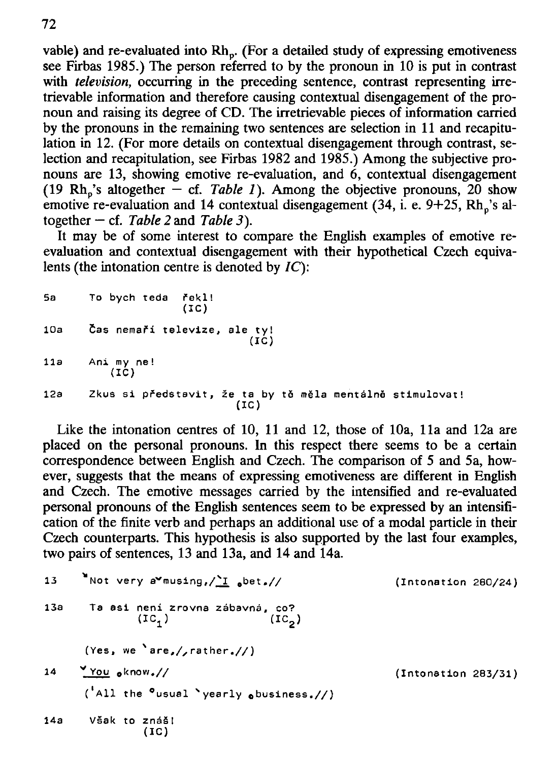vable) and re-evaluated into  $Rh_p$ . (For a detailed study of expressing emotiveness see Firbas 1985.) The person referred to by the pronoun in 10 is put in contrast with *television*, occurring in the preceding sentence, contrast representing irretrievable information and therefore causing contextual disengagement of the pronoun and raising its degree of CD. The irretrievable pieces of information carried by the pronouns in the remaining two sentences are selection in 11 and recapitulation in 12. (For more details on contextual disengagement through contrast, selection and recapitulation, see Firbas 1982 and 1985.) Among the subjective pronouns are 13, showing emotive re-evaluation, and  $6$ , contextual disengagement (19  $Rh_p$ 's altogether  $-$  cf. *Table 1*). Among the objective pronouns, 20 show emotive re-evaluation and 14 contextual disengagement  $(34, i. e. 9+25, Rh<sub>n</sub>'s$  altogether — cf. *Table 2* and *Table 3).* 

It may be of some interest to compare the English examples of emotive reevaluation and contextual disengagement with their hypothetical Czech equivalents (the intonation centre is denoted by *IC):* 

|     | 5a To bych teda řekl!<br>(IC)                                     |
|-----|-------------------------------------------------------------------|
| 10a | Čas nemaří televize, ale ty!<br>(IC)                              |
|     | 11a Animyne!<br>(IC)                                              |
| 12a | Zkus si představit, že ta by tě měla mentálně stimulovat!<br>(IC) |

Like the intonation centres of 10, 11 and 12, those of 10a, 11a and 12a are placed on the personal pronouns. In this respect there seems to be a certain correspondence between English and Czech. The comparison of 5 and 5a, however, suggests that the means of expressing emotiveness are different in English and Czech. The emotive messages carried by the intensified and re-evaluated personal pronouns of the English sentences seem to be expressed by an intensification of the finite verb and perhaps an additional use of a modal particle in their Czech counterparts. This hypothesis is also supported by the last four examples, two pairs of sentences, 13 and 13a, and 14 and 14a.

```
13 ^{\bullet}Not very a vmusing, \frac{1}{\pm} abet.// (Intonation 260/24)
13a \overline{1}a asi neni zrovna zábavná, co?<br>(IC<sub>4</sub>) (IC<sub>4</sub>)
                                      (\text{IC}_2)(Yes, we
N are,/,rather.// ) 
14
      v You oknow.// (Intonation 283/31)
      \binom{4}{1} the \bulletusual 'yearly obusiness.//)
14a Však to znáši
                 (IC )
```